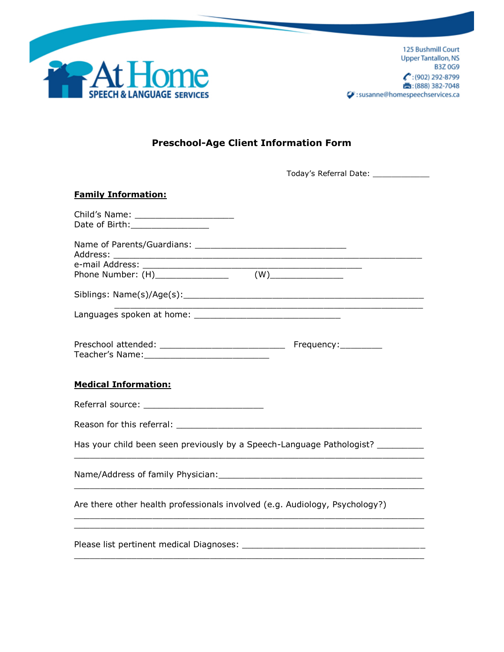

## **Preschool-Age Client Information Form**

| <b>Family Information:</b>                                                  |                                                             |
|-----------------------------------------------------------------------------|-------------------------------------------------------------|
| Date of Birth:_________________                                             |                                                             |
|                                                                             |                                                             |
|                                                                             |                                                             |
|                                                                             |                                                             |
|                                                                             | <u> 1989 - Johann Stoff, amerikansk politiker (d. 1989)</u> |
|                                                                             | Frequency:_________                                         |
| <b>Medical Information:</b>                                                 |                                                             |
|                                                                             |                                                             |
|                                                                             |                                                             |
| Has your child been seen previously by a Speech-Language Pathologist?       |                                                             |
|                                                                             |                                                             |
| Are there other health professionals involved (e.g. Audiology, Psychology?) |                                                             |
|                                                                             |                                                             |